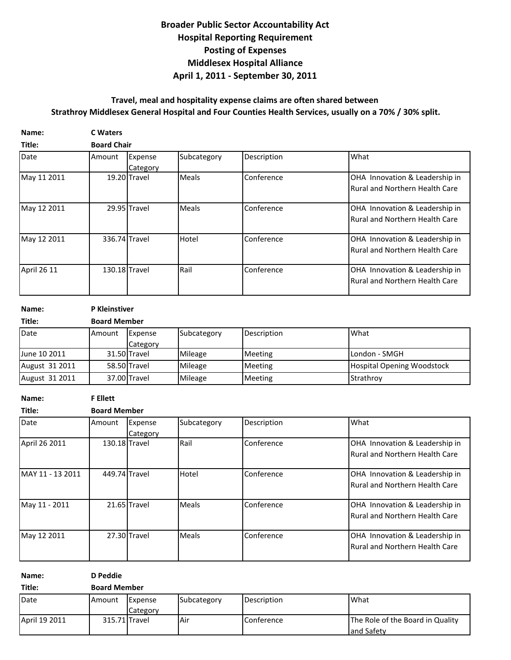## **Broader Public Sector Accountability Act Hospital Reporting Requirement April 1, 2011 - September 30, 2011 Middlesex Hospital Alliance Posting of Expenses**

## **Travel, meal and hospitality expense claims are often shared between Strathroy Middlesex General Hospital and Four Counties Health Services, usually on a 70% / 30% split.**

| Name:       | <b>C</b> Waters |                     |              |             |                                                                         |  |  |  |  |
|-------------|-----------------|---------------------|--------------|-------------|-------------------------------------------------------------------------|--|--|--|--|
| Title:      |                 | <b>Board Chair</b>  |              |             |                                                                         |  |  |  |  |
| Date        | Amount          | Expense<br>Category | Subcategory  | Description | What                                                                    |  |  |  |  |
| May 11 2011 |                 | 19.20 Travel        | <b>Meals</b> | Conference  | OHA Innovation & Leadership in<br><b>Rural and Northern Health Care</b> |  |  |  |  |
| May 12 2011 |                 | 29.95 Travel        | Meals        | Conference  | OHA Innovation & Leadership in<br><b>Rural and Northern Health Care</b> |  |  |  |  |
| May 12 2011 | 336.74 Travel   |                     | Hotel        | Conference  | OHA Innovation & Leadership in<br><b>Rural and Northern Health Care</b> |  |  |  |  |
| April 26 11 | 130.18 Travel   |                     | Rail         | Conference  | OHA Innovation & Leadership in<br><b>Rural and Northern Health Care</b> |  |  |  |  |

**Name: P Kleinstiver**

| Title:         | <b>Board Member</b> |              |             |             |                                   |  |  |
|----------------|---------------------|--------------|-------------|-------------|-----------------------------------|--|--|
| Date           | <b>I</b> Amount     | Expense      | Subcategory | Description | What                              |  |  |
|                |                     | Category     |             |             |                                   |  |  |
| June 10 2011   |                     | 31.50 Travel | Mileage     | Meeting     | London - SMGH                     |  |  |
| August 31 2011 |                     | 58.50 Travel | Mileage     | Meeting     | <b>Hospital Opening Woodstock</b> |  |  |
| August 31 2011 |                     | 37.00 Travel | Mileage     | Meeting     | Strathrov                         |  |  |

**Name: F Ellett**

| Title:           | <b>Board Member</b> |                     |              |             |                                                                         |  |  |
|------------------|---------------------|---------------------|--------------|-------------|-------------------------------------------------------------------------|--|--|
| Date             | Amount              | Expense<br>Category | Subcategory  | Description | What                                                                    |  |  |
| April 26 2011    | 130.18 Travel       |                     | Rail         | Conference  | OHA Innovation & Leadership in<br><b>Rural and Northern Health Care</b> |  |  |
| MAY 11 - 13 2011 | 449.74 Travel       |                     | Hotel        | Conference  | OHA Innovation & Leadership in<br><b>Rural and Northern Health Care</b> |  |  |
| May 11 - 2011    |                     | 21.65 Travel        | <b>Meals</b> | Conference  | OHA Innovation & Leadership in<br><b>Rural and Northern Health Care</b> |  |  |
| May 12 2011      |                     | 27.30 Travel        | <b>Meals</b> | Conference  | OHA Innovation & Leadership in<br><b>Rural and Northern Health Care</b> |  |  |

| Name:         | D Peddie            |                            |             |                   |                                                |  |
|---------------|---------------------|----------------------------|-------------|-------------------|------------------------------------------------|--|
| Title:        | <b>Board Member</b> |                            |             |                   |                                                |  |
| Date          | Amount              | Expense<br><b>Category</b> | Subcategory | Description       | What                                           |  |
| April 19 2011 |                     | 315.71 Travel              | Air         | <b>Conference</b> | The Role of the Board in Quality<br>and Safety |  |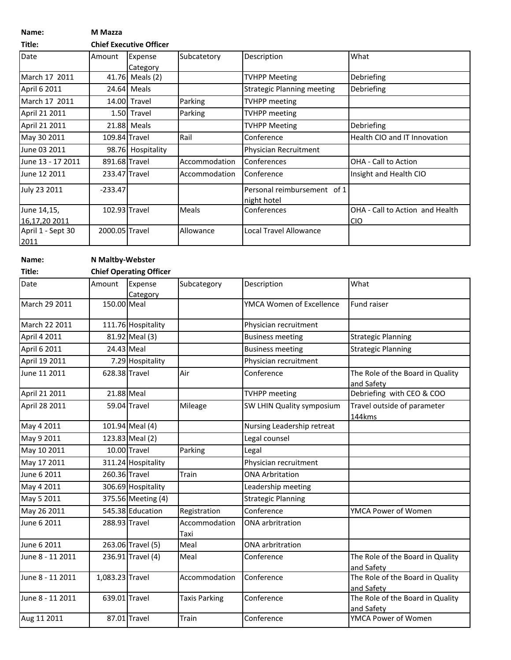**Name: M Mazza**

**Title: Chief Executive Officer**

| Date              | Amount         | Expense<br>Category | Subcatetory   | Description                                | What                            |
|-------------------|----------------|---------------------|---------------|--------------------------------------------|---------------------------------|
| March 17 2011     |                | 41.76 Meals (2)     |               | <b>TVHPP Meeting</b>                       | Debriefing                      |
| April 6 2011      |                | 24.64 Meals         |               | <b>Strategic Planning meeting</b>          | Debriefing                      |
| March 17 2011     |                | 14.00 Travel        | Parking       | <b>TVHPP</b> meeting                       |                                 |
| April 21 2011     |                | 1.50 Travel         | Parking       | <b>TVHPP</b> meeting                       |                                 |
| April 21 2011     |                | 21.88 Meals         |               | <b>TVHPP Meeting</b>                       | Debriefing                      |
| May 30 2011       | 109.84 Travel  |                     | Rail          | Conference                                 | Health CIO and IT Innovation    |
| June 03 2011      |                | 98.76 Hospitality   |               | Physician Recruitment                      |                                 |
| June 13 - 17 2011 | 891.68 Travel  |                     | Accommodation | <b>Conferences</b>                         | <b>OHA - Call to Action</b>     |
| June 12 2011      | 233.47 Travel  |                     | Accommodation | <b>Conference</b>                          | Insight and Health CIO          |
| July 23 2011      | $-233.47$      |                     |               | Personal reimbursement of 1<br>night hotel |                                 |
| June 14,15,       | 102.93 Travel  |                     | <b>Meals</b>  | Conferences                                | OHA - Call to Action and Health |
| 16,17,20 2011     |                |                     |               |                                            | <b>CIO</b>                      |
| April 1 - Sept 30 | 2000.05 Travel |                     | Allowance     | <b>Local Travel Allowance</b>              |                                 |
| 2011              |                |                     |               |                                            |                                 |

**Name: N Maltby-Webster**

| Title:           | <b>Chief Operating Officer</b> |                                |                       |                            |                                                |  |  |
|------------------|--------------------------------|--------------------------------|-----------------------|----------------------------|------------------------------------------------|--|--|
| Date             | Amount                         | Expense<br>Category            | Subcategory           | Description                | What                                           |  |  |
| March 29 2011    | 150.00 Meal                    |                                |                       | YMCA Women of Excellence   | Fund raiser                                    |  |  |
| March 22 2011    |                                | 111.76 Hospitality             |                       | Physician recruitment      |                                                |  |  |
| April 4 2011     |                                | 81.92 Meal (3)                 |                       | <b>Business meeting</b>    | <b>Strategic Planning</b>                      |  |  |
| April 6 2011     |                                | 24.43 Meal                     |                       | <b>Business meeting</b>    | <b>Strategic Planning</b>                      |  |  |
| April 19 2011    |                                | 7.29 Hospitality               |                       | Physician recruitment      |                                                |  |  |
| June 11 2011     | 628.38 Travel                  |                                | Air                   | Conference                 | The Role of the Board in Quality<br>and Safety |  |  |
| April 21 2011    | 21.88 Meal                     |                                |                       | <b>TVHPP meeting</b>       | Debriefing with CEO & COO                      |  |  |
| April 28 2011    |                                | 59.04 Travel                   | Mileage               | SW LHIN Quality symposium  | Travel outside of parameter<br>144kms          |  |  |
| May 4 2011       |                                | 101.94 Meal (4)                |                       | Nursing Leadership retreat |                                                |  |  |
| May 9 2011       |                                | 123.83 Meal (2)                |                       | Legal counsel              |                                                |  |  |
| May 10 2011      |                                | 10.00 Travel                   | Parking               | Legal                      |                                                |  |  |
| May 17 2011      |                                | 311.24 Hospitality             |                       | Physician recruitment      |                                                |  |  |
| June 6 2011      | 260.36 Travel                  |                                | Train                 | <b>ONA Arbritation</b>     |                                                |  |  |
| May 4 2011       |                                | 306.69 Hospitality             |                       | Leadership meeting         |                                                |  |  |
| May 5 2011       |                                | 375.56 Meeting (4)             |                       | <b>Strategic Planning</b>  |                                                |  |  |
| May 26 2011      |                                | 545.38 Education               | Registration          | Conference                 | YMCA Power of Women                            |  |  |
| June 6 2011      | 288.93 Travel                  |                                | Accommodation<br>Taxi | <b>ONA</b> arbritration    |                                                |  |  |
| June 6 2011      |                                | 263.06 Travel (5)              | Meal                  | <b>ONA</b> arbritration    |                                                |  |  |
| June 8 - 11 2011 |                                | $\overline{236.91}$ Travel (4) | Meal                  | Conference                 | The Role of the Board in Quality<br>and Safety |  |  |
| June 8 - 11 2011 | 1,083.23 Travel                |                                | Accommodation         | Conference                 | The Role of the Board in Quality<br>and Safety |  |  |
| June 8 - 11 2011 | 639.01 Travel                  |                                | <b>Taxis Parking</b>  | Conference                 | The Role of the Board in Quality<br>and Safety |  |  |
| Aug 11 2011      |                                | 87.01 Travel                   | Train                 | Conference                 | YMCA Power of Women                            |  |  |